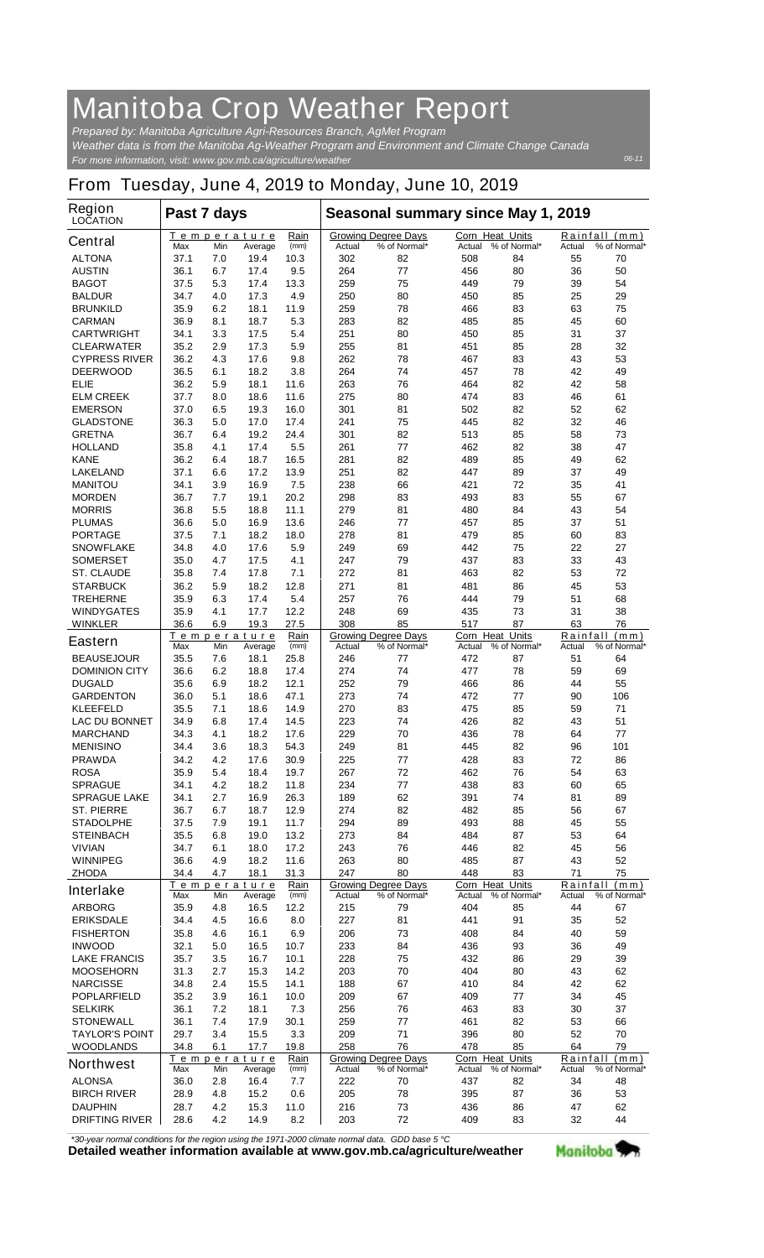## **Manitoba Crop Weather Report**

*For more information, visit: www.gov.mb.ca/agriculture/weather Prepared by: Manitoba Agriculture Agri-Resources Branch, AgMet Program Weather data is from the Manitoba Ag-Weather Program and Environment and Climate Change Canada*

## **From Tuesday, June 4, 2019 to Monday, June 10, 2019**

| <b>Region</b><br><b>LOCATION</b>   | Past 7 days  |            |                               |              | Seasonal summary since May 1, 2019 |                                            |                                  |                    |                    |                               |
|------------------------------------|--------------|------------|-------------------------------|--------------|------------------------------------|--------------------------------------------|----------------------------------|--------------------|--------------------|-------------------------------|
| <b>Central</b>                     | Max          | Min        | Temperature<br>Average        | Rain<br>(mm) | Actual                             | <b>Growing Degree Days</b><br>% of Normal* | <b>Corn Heat Units</b><br>Actual | % of Normal*       | Actual             | Rainfall (mm)<br>% of Normal* |
| <b>ALTONA</b>                      | 37.1         | 7.0        | 19.4                          | 10.3         | 302                                | 82                                         | 508                              | 84                 | 55                 | 70                            |
| <b>AUSTIN</b>                      | 36.1         | 6.7        | 17.4                          | 9.5          | 264                                | 77                                         | 456                              | 80                 | 36                 | 50                            |
| <b>BAGOT</b>                       | 37.5         | 5.3        | 17.4                          | 13.3         | 259                                | 75                                         | 449                              | 79                 | 39                 | 54                            |
| <b>BALDUR</b>                      | 34.7         | 4.0        | 17.3                          | 4.9          | 250                                | 80                                         | 450                              | 85                 | 25                 | 29                            |
| <b>BRUNKILD</b><br><b>CARMAN</b>   | 35.9<br>36.9 | 6.2<br>8.1 | 18.1<br>18.7                  | 11.9<br>5.3  | 259<br>283                         | 78<br>82                                   | 466<br>485                       | 83<br>85           | 63<br>45           | 75<br>60                      |
| <b>CARTWRIGHT</b>                  | 34.1         | 3.3        | 17.5                          | 5.4          | 251                                | 80                                         | 450                              | 85                 | 31                 | 37                            |
| <b>CLEARWATER</b>                  | 35.2         | 2.9        | 17.3                          | 5.9          | 255                                | 81                                         | 451                              | 85                 | 28                 | 32                            |
| <b>CYPRESS RIVER</b>               | 36.2         | 4.3        | 17.6                          | 9.8          | 262                                | 78                                         | 467                              | 83                 | 43                 | 53                            |
| <b>DEERWOOD</b>                    | 36.5         | 6.1        | 18.2                          | 3.8          | 264                                | 74                                         | 457                              | 78                 | 42                 | 49                            |
| ELIE                               | 36.2         | 5.9        | 18.1                          | 11.6         | 263                                | 76                                         | 464                              | 82                 | 42                 | 58                            |
| <b>ELM CREEK</b>                   | 37.7         | 8.0        | 18.6                          | 11.6         | 275                                | 80                                         | 474                              | 83                 | 46                 | 61                            |
| <b>EMERSON</b>                     | 37.0         | 6.5        | 19.3                          | 16.0         | 301                                | 81                                         | 502                              | 82                 | 52                 | 62                            |
| <b>GLADSTONE</b>                   | 36.3         | 5.0        | 17.0                          | 17.4         | 241                                | 75                                         | 445                              | 82                 | 32                 | 46                            |
| <b>GRETNA</b>                      | 36.7         | 6.4        | 19.2                          | 24.4         | 301                                | 82                                         | 513                              | 85                 | 58                 | 73                            |
| <b>HOLLAND</b>                     | 35.8         | 4.1        | 17.4                          | 5.5          | 261                                | 77                                         | 462                              | 82                 | 38                 | 47                            |
| <b>KANE</b>                        | 36.2         | 6.4        | 18.7                          | 16.5         | 281                                | 82                                         | 489                              | 85                 | 49                 | 62                            |
| <b>LAKELAND</b>                    | 37.1         | 6.6        | 17.2                          | 13.9         | 251                                | 82                                         | 447                              | 89                 | 37                 | 49                            |
| <b>MANITOU</b>                     | 34.1         | 3.9        | 16.9                          | 7.5          | 238                                | 66                                         | 421                              | 72                 | 35<br>55           | 41                            |
| <b>MORDEN</b><br><b>MORRIS</b>     | 36.7<br>36.8 | 7.7<br>5.5 | 19.1<br>18.8                  | 20.2<br>11.1 | 298<br>279                         | 83<br>81                                   | 493<br>480                       | 83<br>84           | 43                 | 67<br>54                      |
| <b>PLUMAS</b>                      | 36.6         | 5.0        | 16.9                          | 13.6         | 246                                | 77                                         | 457                              | 85                 | 37                 | 51                            |
| <b>PORTAGE</b>                     | 37.5         | 7.1        | 18.2                          | 18.0         | 278                                | 81                                         | 479                              | 85                 | 60                 | 83                            |
| <b>SNOWFLAKE</b>                   | 34.8         | 4.0        | 17.6                          | 5.9          | 249                                | 69                                         | 442                              | 75                 | 22                 | 27                            |
| <b>SOMERSET</b>                    | 35.0         | 4.7        | 17.5                          | 4.1          | 247                                | 79                                         | 437                              | 83                 | 33                 | 43                            |
| <b>ST. CLAUDE</b>                  | 35.8         | 7.4        | 17.8                          | 7.1          | 272                                | 81                                         | 463                              | 82                 | 53                 | 72                            |
| <b>STARBUCK</b>                    | 36.2         | 5.9        | 18.2                          | 12.8         | 271                                | 81                                         | 481                              | 86                 | 45                 | 53                            |
| <b>TREHERNE</b>                    | 35.9         | 6.3        | 17.4                          | 5.4          | 257                                | 76                                         | 444                              | 79                 | 51                 | 68                            |
| <b>WINDYGATES</b>                  | 35.9         | 4.1        | 17.7                          | 12.2         | 248                                | 69                                         | 435                              | 73                 | 31                 | 38                            |
| <b>WINKLER</b>                     | 36.6         | 6.9        | 19.3                          | 27.5         | 308                                | 85                                         | 517                              | 87                 | 63                 | 76                            |
| <b>Eastern</b>                     | Max          | Min        | <u>Temperature</u><br>Average | Rain<br>(mm) | Actual                             | <b>Growing Degree Days</b><br>% of Normal* | <b>Corn Heat Units</b><br>Actual | % of Normal*       | Actual             | Rainfall (mm)<br>% of Normal* |
| <b>BEAUSEJOUR</b>                  | 35.5         | 7.6        | 18.1                          | 25.8         | 246                                | 77                                         | 472                              | 87                 | 51                 | 64                            |
| <b>DOMINION CITY</b>               | 36.6         | 6.2        | 18.8                          | 17.4         | 274                                | 74                                         | 477                              | 78                 | 59                 | 69                            |
| <b>DUGALD</b>                      | 35.6         | 6.9        | 18.2                          | 12.1         | 252                                | 79                                         | 466                              | 86                 | 44                 | 55                            |
| <b>GARDENTON</b>                   | 36.0         | 5.1        | 18.6                          | 47.1         | 273                                | 74                                         | 472                              | 77                 | 90                 | 106                           |
| <b>KLEEFELD</b>                    | 35.5         | 7.1        | 18.6                          | 14.9         | 270                                | 83                                         | 475                              | 85                 | 59                 | 71                            |
| <b>LAC DU BONNET</b>               | 34.9         | 6.8        | 17.4                          | 14.5         | 223                                | 74                                         | 426                              | 82                 | 43                 | 51                            |
| <b>MARCHAND</b>                    | 34.3         | 4.1        | 18.2                          | 17.6<br>54.3 | 229                                | 70                                         | 436                              | 78                 | 64                 | 77<br>101                     |
| <b>MENISINO</b>                    | 34.4<br>34.2 | 3.6<br>4.2 | 18.3<br>17.6                  | 30.9         | 249                                | 81<br>77                                   | 445                              | 82<br>83           | 96                 | 86                            |
| <b>PRAWDA</b><br><b>ROSA</b>       | 35.9         | 5.4        | 18.4                          | 19.7         | 225<br>267                         | 72                                         | 428<br>462                       | 76                 | 72<br>54           | 63                            |
| <b>SPRAGUE</b>                     | 34.1         | 4.2        | 18.2                          | 11.8         | 234                                | 77                                         | 438                              | 83                 | 60                 | 65                            |
| <b>SPRAGUE LAKE</b>                | 34.1         | 2.7        | 16.9                          | 26.3         | 189                                | 62                                         | 391                              | 74                 | 81                 | 89                            |
| <b>ST. PIERRE</b>                  | 36.7         | 6.7        | 18.7                          | 12.9         | 274                                | 82                                         | 482                              | 85                 | 56                 | 67                            |
| <b>STADOLPHE</b>                   | 37.5         | 7.9        | 19.1                          | 11.7         | 294                                | 89                                         | 493                              | 88                 | 45                 | 55                            |
| <b>STEINBACH</b>                   | 35.5         | 6.8        | 19.0                          | 13.2         | 273                                | 84                                         | 484                              | 87                 | 53                 | 64                            |
| <b>VIVIAN</b>                      | 34.7         | 6.1        | 18.0                          | 17.2         | 243                                | 76                                         | 446                              | 82                 | 45                 | 56                            |
| <b>WINNIPEG</b>                    | 36.6         | 4.9        | 18.2                          | 11.6         | 263                                | 80                                         | 485                              | 87                 | 43                 | 52                            |
| <b>ZHODA</b>                       | 34.4         | 4.7        | 18.1                          | 31.3         | 247                                | 80                                         | 448                              | 83                 | 71                 | 75                            |
| <b>Interlake</b>                   | Max          | Min        | <b>Temperature</b><br>Average | Rain<br>(mm) | Actual                             | <b>Growing Degree Days</b><br>% of Normal* | Corn Heat Units<br>Actual        | % of Normal*       | Rainfall<br>Actual | (mm)<br>% of Normal*          |
| <b>ARBORG</b>                      | 35.9         | 4.8        | 16.5                          | 12.2         | 215                                | 79                                         | 404                              | 85                 | 44                 | 67                            |
| <b>ERIKSDALE</b>                   | 34.4         | 4.5        | 16.6                          | 8.0          | 227                                | 81                                         | 441                              | 91                 | 35                 | 52                            |
| <b>FISHERTON</b>                   | 35.8         | 4.6        | 16.1                          | 6.9          | 206                                | 73                                         | 408                              | 84                 | 40                 | 59                            |
| <b>INWOOD</b>                      | 32.1         | 5.0        | 16.5                          | 10.7         | 233                                | 84                                         | 436                              | 93                 | 36                 | 49                            |
| <b>LAKE FRANCIS</b>                | 35.7         | 3.5        | 16.7                          | 10.1         | 228                                | 75                                         | 432                              | 86                 | 29                 | 39                            |
| <b>MOOSEHORN</b>                   | 31.3         | 2.7        | 15.3                          | 14.2         | 203                                | 70                                         | 404                              | 80                 | 43                 | 62                            |
| <b>NARCISSE</b>                    | 34.8         | 2.4        | 15.5                          | 14.1         | 188                                | 67                                         | 410                              | 84                 | 42                 | 62                            |
| <b>POPLARFIELD</b>                 | 35.2         | 3.9        | 16.1                          | 10.0         | 209                                | 67                                         | 409                              | 77                 | 34                 | 45                            |
| <b>SELKIRK</b><br><b>STONEWALL</b> | 36.1<br>36.1 | 7.2<br>7.4 | 18.1<br>17.9                  | 7.3<br>30.1  | 256<br>259                         | 76<br>77                                   | 463<br>461                       | 83<br>82           | 30<br>53           | 37<br>66                      |
| <b>TAYLOR'S POINT</b>              | 29.7         | 3.4        | 15.5                          | 3.3          | 209                                | 71                                         | 396                              | 80                 | 52                 | 70                            |
| <b>WOODLANDS</b>                   | 34.8         | 6.1        | 17.7                          | 19.8         | 258                                | 76                                         | 478                              | 85                 | 64                 | 79                            |
| <b>Northwest</b>                   |              |            | <b>Temperature</b>            | Rain         |                                    | <b>Growing Degree Days</b>                 | <b>Corn Heat Units</b>           |                    |                    | Rainfall (mm)                 |
| <b>ALONSA</b>                      | Max<br>36.0  | Min<br>2.8 | Average<br>16.4               | (mm)<br>7.7  | Actual<br>222                      | % of Normal*<br>70                         | Actual<br>437                    | % of Normal*<br>82 | Actual<br>34       | % of Normal*<br>48            |
| <b>BIRCH RIVER</b>                 | 28.9         | 4.8        | 15.2                          | 0.6          | 205                                | 78                                         | 395                              | 87                 | 36                 | 53                            |
| <b>DAUPHIN</b>                     | 28.7         | 4.2        | 15.3                          | 11.0         | 216                                | 73                                         | 436                              | 86                 | 47                 | 62                            |
| <b>DRIFTING RIVER</b>              | 28.6         | 4.2        | 14.9                          | 8.2          | 203                                | 72                                         | 409                              | 83                 | 32                 | 44                            |

*\*30-year normal conditions for the region using the 1971-2000 climate normal data. GDD base 5 °C*<br>Detailed weather information available at www.gov.mb.ca/agriculture/weather

Manitoba<sup>9</sup>